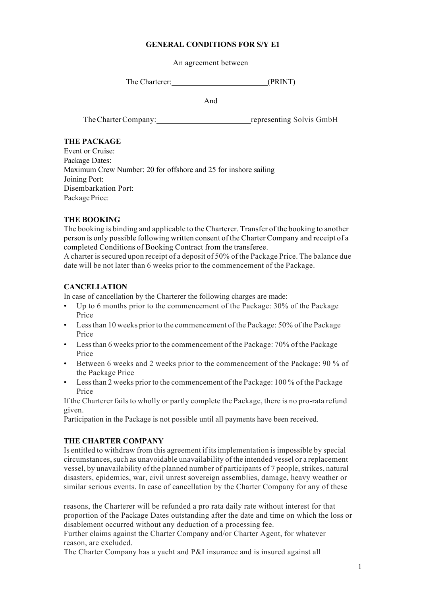#### **GENERAL CONDITIONS FOR S/Y E1**

An agreement between

The Charterer: (PRINT)

And

The Charter Company: representing Solvis GmbH

### **THE PACKAGE**

Event or Cruise: Package Dates: Maximum Crew Number: 20 for offshore and 25 for inshore sailing Joining Port: Disembarkation Port: Package Price:

# **THE BOOKING**

The booking is binding and applicable to the Charterer. Transfer of the booking to another person is only possible following written consent of the Charter Company and receipt of a completed Conditions of Booking Contract from the transferee.

A charter issecured upon receipt of a deposit of 50% of the Package Price. The balance due date will be not later than 6 weeks prior to the commencement of the Package.

# **CANCELLATION**

In case of cancellation by the Charterer the following charges are made:

- Up to 6 months prior to the commencement of the Package: 30% of the Package Price
- Lessthan 10 weeks prior to the commencement of the Package: 50% of the Package Price
- Lessthan 6 weeks prior to the commencement of the Package: 70% of the Package Price
- Between 6 weeks and 2 weeks prior to the commencement of the Package: 90 % of the Package Price
- Lessthan 2 weeks prior to the commencement of the Package: 100 % of the Package Price

If the Charterer fails to wholly or partly complete the Package, there is no pro-rata refund given.

Participation in the Package is not possible until all payments have been received.

# **THE CHARTER COMPANY**

Is entitled to withdraw from this agreement if itsimplementation isimpossible by special circumstances, such as unavoidable unavailability of the intended vessel or a replacement vessel, by unavailability of the planned number of participants of 7 people, strikes, natural disasters, epidemics, war, civil unrest sovereign assemblies, damage, heavy weather or similar serious events. In case of cancellation by the Charter Company for any of these

reasons, the Charterer will be refunded a pro rata daily rate without interest for that proportion of the Package Dates outstanding after the date and time on which the loss or disablement occurred without any deduction of a processing fee.

Further claims against the Charter Company and/or Charter Agent, for whatever reason, are excluded.

The Charter Company has a yacht and P&I insurance and is insured against all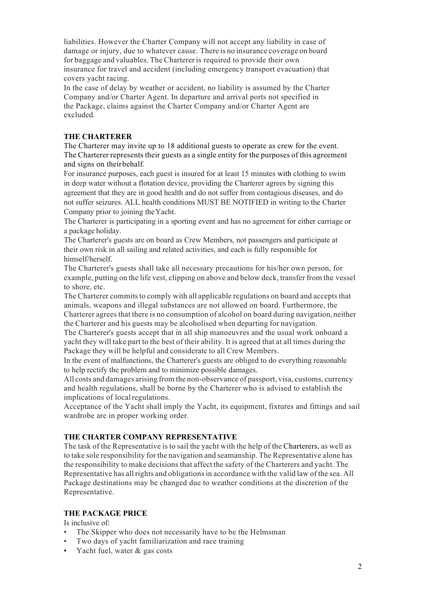liabilities. However the Charter Company will not accept any liability in case of damage or injury, due to whatever cause. There is no insurance coverage on board for baggage and valuables. The Charterer is required to provide their own insurance for travel and accident (including emergency transport evacuation) that covers yacht racing.

In the case of delay by weather or accident, no liability is assumed by the Charter Company and/or Charter Agent. In departure and arrival ports not specified in the Package, claims against the Charter Company and/or Charter Agent are excluded.

### **THE CHARTERER**

The Charterer may invite up to 18 additional guests to operate as crew for the event. The Charterer represents their guests as a single entity for the purposes of this agreement and signs on theirbehalf.

For insurance purposes, each guest is insured for at least 15 minutes with clothing to swim in deep water without a flotation device, providing the Charterer agrees by signing this agreement that they are in good health and do not suffer from contagious diseases, and do not suffer seizures. ALL health conditions MUST BE NOTIFIED in writing to the Charter Company prior to joining theYacht.

The Charterer is participating in a sporting event and has no agreement for either carriage or a package holiday.

The Charterer's guests are on board as Crew Members, not passengers and participate at their own risk in all sailing and related activities, and each is fully responsible for himself/herself.

The Charterer's guests shall take all necessary precautions for his/her own person, for example, putting on the life vest, clipping on above and below deck, transfer from the vessel to shore, etc.

The Charterer commits to comply with all applicable regulations on board and accepts that animals, weapons and illegal substances are not allowed on board. Furthermore, the Charterer agrees that there is no consumption of alcohol on board during navigation, neither the Charterer and his guests may be alcoholised when departing for navigation.

The Charterer's guests accept that in all ship manoeuvres and the usual work onboard a yacht they will take part to the best of their ability. It is agreed that at all times during the Package they will be helpful and considerate to all Crew Members.

In the event of malfunctions, the Charterer's guests are obliged to do everything reasonable to help rectify the problem and to minimize possible damages.

All costs and damages arising from the non-observance of passport, visa, customs, currency and health regulations, shall be borne by the Charterer who is advised to establish the implications of localregulations.

Acceptance of the Yacht shall imply the Yacht, its equipment, fixtures and fittings and sail wardrobe are in proper working order.

#### **THE CHARTER COMPANY REPRESENTATIVE**

The task of the Representative is to sail the yacht with the help of the Charterers, as well as to take sole responsibility for the navigation and seamanship. The Representative alone has the responsibility to make decisions that affect the safety of the Charterers and yacht. The Representative has all rights and obligations in accordance with the valid law of the sea. All Package destinations may be changed due to weather conditions at the discretion of the Representative.

#### **THE PACKAGE PRICE**

Is inclusive of:

- The Skipper who does not necessarily have to be the Helmsman
- Two days of yacht familiarization and race training
- Yacht fuel, water & gas costs